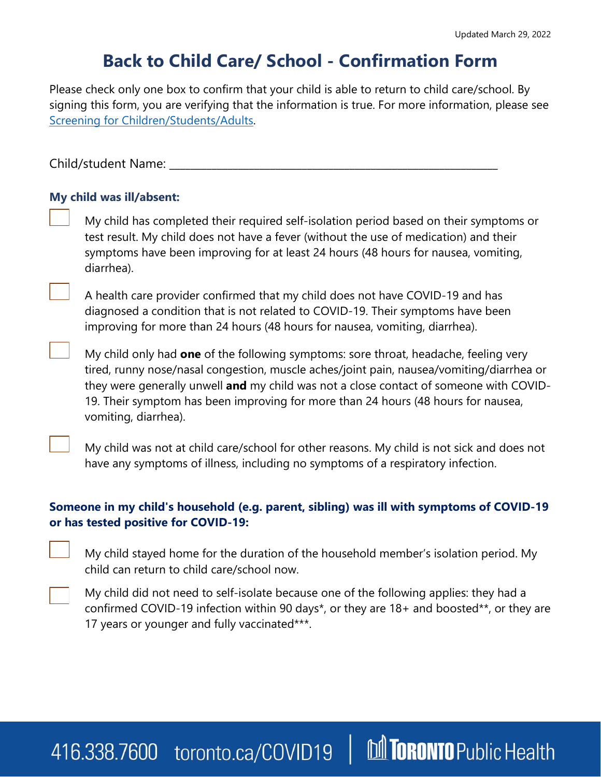# **Back to Child Care/ School - Confirmation Form**

Please check only one box to confirm that your child is able to return to child care/school. By signing this form, you are verifying that the information is true. For more information, please see [Screening for Children/Students/Adults.](https://www.toronto.ca/wp-content/uploads/2021/06/994c-Screening-Questionnaire-Child-Care-Day-Camp-School.pdf)

Child/student Name:

### **My child was ill/absent:**

My child has completed their required self-isolation period based on their symptoms or test result. My child does not have a fever (without the use of medication) and their symptoms have been improving for at least 24 hours (48 hours for nausea, vomiting, diarrhea).

A health care provider confirmed that my child does not have COVID-19 and has diagnosed a condition that is not related to COVID-19. Their symptoms have been improving for more than 24 hours (48 hours for nausea, vomiting, diarrhea).

My child only had **one** of the following symptoms: sore throat, headache, feeling very tired, runny nose/nasal congestion, muscle aches/joint pain, nausea/vomiting/diarrhea or they were generally unwell **and** my child was not a close contact of someone with COVID-19. Their symptom has been improving for more than 24 hours (48 hours for nausea, vomiting, diarrhea).

My child was not at child care/school for other reasons. My child is not sick and does not have any symptoms of illness, including no symptoms of a respiratory infection.

### **Someone in my child's household (e.g. parent, sibling) was ill with symptoms of COVID-19 or has tested positive for COVID-19:**

My child stayed home for the duration of the household member's isolation period. My child can return to child care/school now.



My child did not need to self-isolate because one of the following applies: they had a confirmed COVID-19 infection within 90 days\*, or they are 18+ and boosted\*\*, or they are 17 years or younger and fully vaccinated\*\*\*.

## **M TORONTO** Public Health 416.338.7600 toronto.ca/COVID19